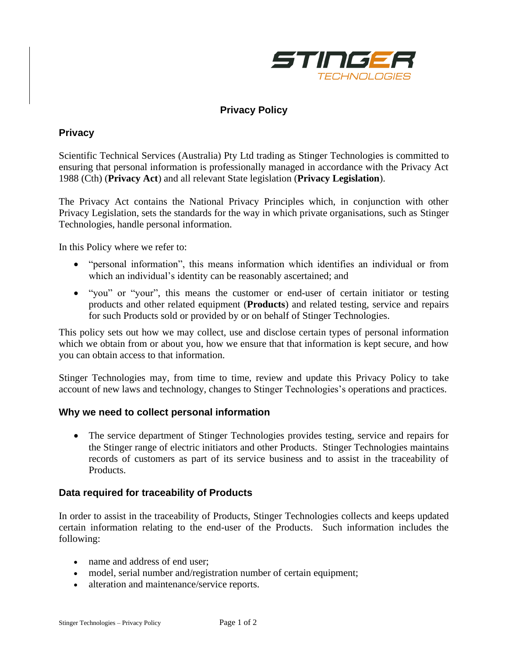

# **Privacy Policy**

## **Privacy**

Scientific Technical Services (Australia) Pty Ltd trading as Stinger Technologies is committed to ensuring that personal information is professionally managed in accordance with the Privacy Act 1988 (Cth) (**Privacy Act**) and all relevant State legislation (**Privacy Legislation**).

The Privacy Act contains the National Privacy Principles which, in conjunction with other Privacy Legislation, sets the standards for the way in which private organisations, such as Stinger Technologies, handle personal information.

In this Policy where we refer to:

- "personal information", this means information which identifies an individual or from which an individual's identity can be reasonably ascertained; and
- "you" or "your", this means the customer or end-user of certain initiator or testing products and other related equipment (**Products**) and related testing, service and repairs for such Products sold or provided by or on behalf of Stinger Technologies.

This policy sets out how we may collect, use and disclose certain types of personal information which we obtain from or about you, how we ensure that that information is kept secure, and how you can obtain access to that information.

Stinger Technologies may, from time to time, review and update this Privacy Policy to take account of new laws and technology, changes to Stinger Technologies's operations and practices.

### **Why we need to collect personal information**

• The service department of Stinger Technologies provides testing, service and repairs for the Stinger range of electric initiators and other Products. Stinger Technologies maintains records of customers as part of its service business and to assist in the traceability of Products.

#### **Data required for traceability of Products**

In order to assist in the traceability of Products, Stinger Technologies collects and keeps updated certain information relating to the end-user of the Products. Such information includes the following:

- name and address of end user:
- model, serial number and/registration number of certain equipment;
- alteration and maintenance/service reports.